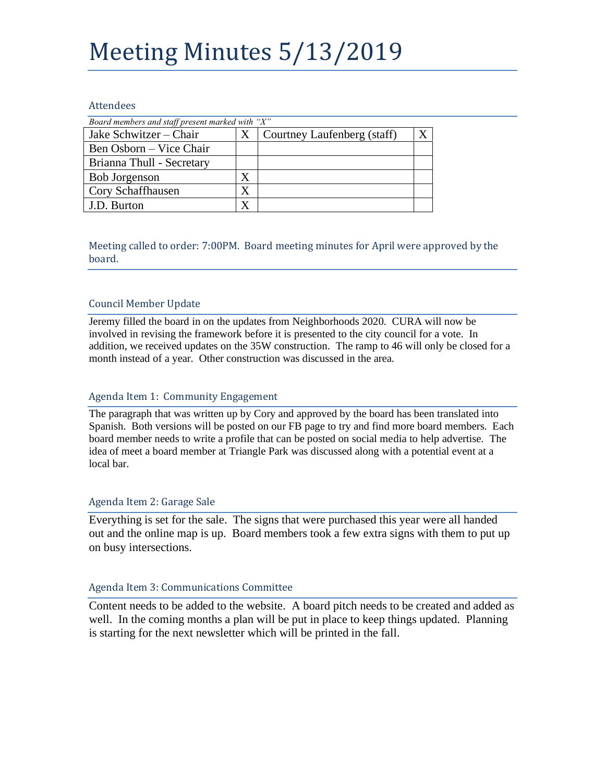# Meeting Minutes 5/13/2019

### Attendees

| Board members and staff present marked with "X" |   |                             |  |
|-------------------------------------------------|---|-----------------------------|--|
| Jake Schwitzer – Chair                          | X | Courtney Laufenberg (staff) |  |
| Ben Osborn – Vice Chair                         |   |                             |  |
| Brianna Thull - Secretary                       |   |                             |  |
| <b>Bob Jorgenson</b>                            | X |                             |  |
| Cory Schaffhausen                               | X |                             |  |
| J.D. Burton                                     | X |                             |  |

Meeting called to order: 7:00PM. Board meeting minutes for April were approved by the board.

# Council Member Update

Jeremy filled the board in on the updates from Neighborhoods 2020. CURA will now be involved in revising the framework before it is presented to the city council for a vote. In addition, we received updates on the 35W construction. The ramp to 46 will only be closed for a month instead of a year. Other construction was discussed in the area.

## Agenda Item 1: Community Engagement

The paragraph that was written up by Cory and approved by the board has been translated into Spanish. Both versions will be posted on our FB page to try and find more board members. Each board member needs to write a profile that can be posted on social media to help advertise. The idea of meet a board member at Triangle Park was discussed along with a potential event at a local bar.

## Agenda Item 2: Garage Sale

Everything is set for the sale. The signs that were purchased this year were all handed out and the online map is up. Board members took a few extra signs with them to put up on busy intersections.

### Agenda Item 3: Communications Committee

Content needs to be added to the website. A board pitch needs to be created and added as well. In the coming months a plan will be put in place to keep things updated. Planning is starting for the next newsletter which will be printed in the fall.